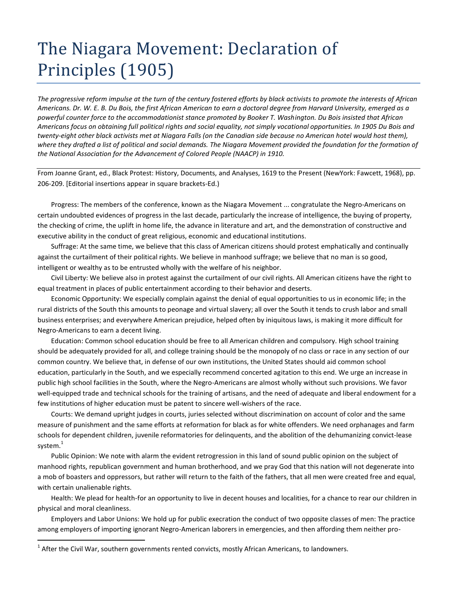## The Niagara Movement: Declaration of Principles (1905)

*The progressive reform impulse at the turn of the century fostered efforts by black activists to promote the interests of African Americans. Dr. W. E. B. Du Bois, the first African American to earn a doctoral degree from Harvard University, emerged as a powerful counter force to the accommodationist stance promoted by Booker T. Washington. Du Bois insisted that African Americans focus on obtaining full political rights and social equality, not simply vocational opportunities. In 1905 Du Bois and twenty-eight other black activists met at Niagara Falls (on the Canadian side because no American hotel would host them), where they drafted a list of political and social demands. The Niagara Movement provided the foundation for the formation of the National Association for the Advancement of Colored People (NAACP) in 1910.*

From Joanne Grant, ed., Black Protest: History, Documents, and Analyses, 1619 to the Present (NewYork: Fawcett, 1968), pp. 206-209. [Editorial insertions appear in square brackets-Ed.)

Progress: The members of the conference, known as the Niagara Movement ... congratulate the Negro-Americans on certain undoubted evidences of progress in the last decade, particularly the increase of intelligence, the buying of property, the checking of crime, the uplift in home life, the advance in literature and art, and the demonstration of constructive and executive ability in the conduct of great religious, economic and educational institutions.

Suffrage: At the same time, we believe that this class of American citizens should protest emphatically and continually against the curtailment of their political rights. We believe in manhood suffrage; we believe that no man is so good, intelligent or wealthy as to be entrusted wholly with the welfare of his neighbor.

Civil Liberty: We believe also in protest against the curtailment of our civil rights. All American citizens have the right to equal treatment in places of public entertainment according to their behavior and deserts.

Economic Opportunity: We especially complain against the denial of equal opportunities to us in economic life; in the rural districts of the South this amounts to peonage and virtual slavery; all over the South it tends to crush labor and small business enterprises; and everywhere American prejudice, helped often by iniquitous laws, is making it more difficult for Negro-Americans to earn a decent living.

Education: Common school education should be free to all American children and compulsory. High school training should be adequately provided for all, and college training should be the monopoly of no class or race in any section of our common country. We believe that, in defense of our own institutions, the United States should aid common school education, particularly in the South, and we especially recommend concerted agitation to this end. We urge an increase in public high school facilities in the South, where the Negro-Americans are almost wholly without such provisions. We favor well-equipped trade and technical schools for the training of artisans, and the need of adequate and liberal endowment for a few institutions of higher education must be patent to sincere well-wishers of the race.

Courts: We demand upright judges in courts, juries selected without discrimination on account of color and the same measure of punishment and the same efforts at reformation for black as for white offenders. We need orphanages and farm schools for dependent children, juvenile reformatories for delinquents, and the abolition of the dehumanizing convict-lease system.<sup>1</sup>

Public Opinion: We note with alarm the evident retrogression in this land of sound public opinion on the subject of manhood rights, republican government and human brotherhood, and we pray God that this nation will not degenerate into a mob of boasters and oppressors, but rather will return to the faith of the fathers, that all men were created free and equal, with certain unalienable rights.

Health: We plead for health-for an opportunity to live in decent houses and localities, for a chance to rear our children in physical and moral cleanliness.

Employers and Labor Unions: We hold up for public execration the conduct of two opposite classes of men: The practice among employers of importing ignorant Negro-American laborers in emergencies, and then affording them neither pro-

 $\overline{a}$ 

 $^{1}$  After the Civil War, southern governments rented convicts, mostly African Americans, to landowners.